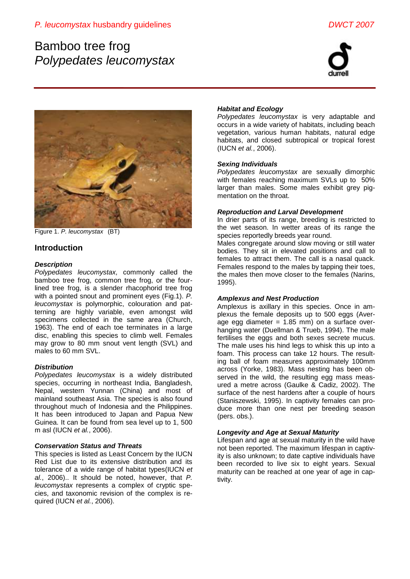# Bamboo tree frog *Polypedates leucomystax*





Figure 1. *P. leucomystax* (BT)

# **Introduction**

# *Description*

*Polypedates leucomystax,* commonly called the bamboo tree frog, common tree frog, or the fourlined tree frog, is a slender rhacophorid tree frog with a pointed snout and prominent eyes (Fig.1). *P. leucomystax* is polymorphic, colouration and patterning are highly variable, even amongst wild specimens collected in the same area (Church, 1963). The end of each toe terminates in a large disc, enabling this species to climb well. Females may grow to 80 mm snout vent length (SVL) and males to 60 mm SVL.

# *Distribution*

*Polypedates leucomystax* is a widely distributed species, occurring in northeast India, Bangladesh, Nepal, western Yunnan (China) and most of mainland southeast Asia. The species is also found throughout much of Indonesia and the Philippines. It has been introduced to Japan and Papua New Guinea. It can be found from sea level up to 1, 500 m asl (IUCN *et al.*, 2006).

# *Conservation Status and Threats*

This species is listed as Least Concern by the IUCN Red List due to its extensive distribution and its tolerance of a wide range of habitat types(IUCN *et al.*, 2006).. It should be noted, however, that *P. leucomystax* represents a complex of cryptic species, and taxonomic revision of the complex is required (IUCN *et al.*, 2006).

# *Habitat and Ecology*

*Polypedates leucomystax* is very adaptable and occurs in a wide variety of habitats, including beach vegetation, various human habitats, natural edge habitats, and closed subtropical or tropical forest (IUCN *et al.*, 2006).

# *Sexing Individuals*

*Polypedates leucomystax* are sexually dimorphic with females reaching maximum SVLs up to 50% larger than males. Some males exhibit grey pigmentation on the throat.

# *Reproduction and Larval Development*

In drier parts of its range, breeding is restricted to the wet season. In wetter areas of its range the species reportedly breeds year round.

Males congregate around slow moving or still water bodies. They sit in elevated positions and call to females to attract them. The call is a nasal quack. Females respond to the males by tapping their toes, the males then move closer to the females (Narins, 1995).

# *Amplexus and Nest Production*

Amplexus is axillary in this species. Once in amplexus the female deposits up to 500 eggs (Average egg diameter  $= 1.85$  mm) on a surface overhanging water (Duellman & Trueb, 1994). The male fertilises the eggs and both sexes secrete mucus. The male uses his hind legs to whisk this up into a foam. This process can take 12 hours. The resulting ball of foam measures approximately 100mm across (Yorke, 1983). Mass nesting has been observed in the wild, the resulting egg mass measured a metre across (Gaulke & Cadiz, 2002). The surface of the nest hardens after a couple of hours (Staniszewski, 1995). In captivity females can produce more than one nest per breeding season (pers. obs.).

# *Longevity and Age at Sexual Maturity*

Lifespan and age at sexual maturity in the wild have not been reported. The maximum lifespan in captivity is also unknown; to date captive individuals have been recorded to live six to eight years. Sexual maturity can be reached at one year of age in captivity.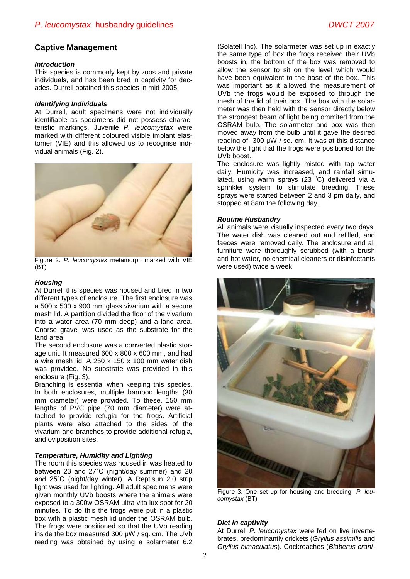# **Captive Management**

#### *Introduction*

This species is commonly kept by zoos and private individuals, and has been bred in captivity for decades. Durrell obtained this species in mid-2005.

#### *Identifying Individuals*

At Durrell, adult specimens were not individually identifiable as specimens did not possess characteristic markings. Juvenile *P. leucomystax* were marked with different coloured visible implant elastomer (VIE) and this allowed us to recognise individual animals (Fig. 2).



Figure 2. *P. leucomystax* metamorph marked with VIE (BT)

### *Housing*

At Durrell this species was housed and bred in two different types of enclosure. The first enclosure was a 500 x 500 x 900 mm glass vivarium with a secure mesh lid. A partition divided the floor of the vivarium into a water area (70 mm deep) and a land area. Coarse gravel was used as the substrate for the land area.

The second enclosure was a converted plastic storage unit. It measured 600 x 800 x 600 mm, and had a wire mesh lid. A 250 x 150 x 100 mm water dish was provided. No substrate was provided in this enclosure (Fig. 3).

Branching is essential when keeping this species. In both enclosures, multiple bamboo lengths (30 mm diameter) were provided. To these, 150 mm lengths of PVC pipe (70 mm diameter) were attached to provide refugia for the frogs. Artificial plants were also attached to the sides of the vivarium and branches to provide additional refugia, and oviposition sites.

### *Temperature, Humidity and Lighting*

The room this species was housed in was heated to between 23 and 27˚C (night/day summer) and 20 and 25˚C (night/day winter). A Reptisun 2.0 strip light was used for lighting. All adult specimens were given monthly UVb boosts where the animals were exposed to a 300w OSRAM ultra vita lux spot for 20 minutes. To do this the frogs were put in a plastic box with a plastic mesh lid under the OSRAM bulb. The frogs were positioned so that the UVb reading inside the box measured 300 μW / sq. cm. The UVb reading was obtained by using a solarmeter 6.2

(Solatell Inc). The solarmeter was set up in exactly the same type of box the frogs received their UVb boosts in, the bottom of the box was removed to allow the sensor to sit on the level which would have been equivalent to the base of the box. This was important as it allowed the measurement of UVb the frogs would be exposed to through the mesh of the lid of their box. The box with the solarmeter was then held with the sensor directly below the strongest beam of light being ommited from the OSRAM bulb. The solarmeter and box was then moved away from the bulb until it gave the desired reading of 300 μW / sq. cm. It was at this distance below the light that the frogs were positioned for the UVb boost.

The enclosure was lightly misted with tap water daily. Humidity was increased, and rainfall simulated, using warm sprays (23 °C) delivered via a sprinkler system to stimulate breeding. These sprays were started between 2 and 3 pm daily, and stopped at 8am the following day.

#### *Routine Husbandry*

All animals were visually inspected every two days. The water dish was cleaned out and refilled, and faeces were removed daily. The enclosure and all furniture were thoroughly scrubbed (with a brush and hot water, no chemical cleaners or disinfectants were used) twice a week.



Figure 3. One set up for housing and breeding *P. leucomystax* (BT)

### *Diet in captivity*

At Durrell *P. leucomystax* were fed on live invertebrates, predominantly crickets (*Gryllus assimilis* and *Gryllus bimaculatus*). Cockroaches (*Blaberus crani-*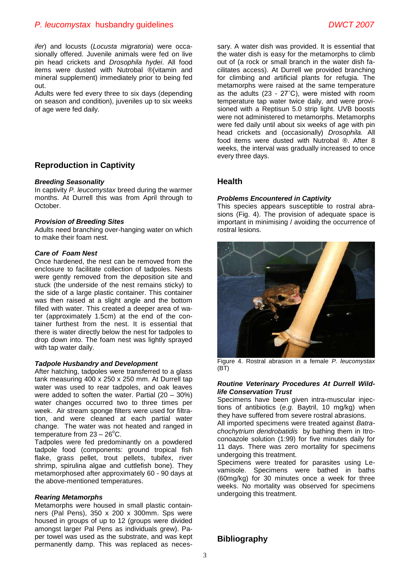# *P. leucomystax* husbandry guidelines *DWCT 2007*

*ifer*) and locusts (*Locusta migratoria*) were occasionally offered. Juvenile animals were fed on live pin head crickets and *Drosophila hydei*. All food items were dusted with Nutrobal ®(vitamin and mineral supplement) immediately prior to being fed out.

Adults were fed every three to six days (depending on season and condition), juveniles up to six weeks of age were fed daily.

# **Reproduction in Captivity**

#### *Breeding Seasonality*

In captivity *P. leucomystax* breed during the warmer months. At Durrell this was from April through to October.

#### *Provision of Breeding Sites*

Adults need branching over-hanging water on which to make their foam nest.

### *Care of Foam Nest*

Once hardened, the nest can be removed from the enclosure to facilitate collection of tadpoles. Nests were gently removed from the deposition site and stuck (the underside of the nest remains sticky) to the side of a large plastic container. This container was then raised at a slight angle and the bottom filled with water. This created a deeper area of water (approximately 1.5cm) at the end of the container furthest from the nest. It is essential that there is water directly below the nest for tadpoles to drop down into. The foam nest was lightly sprayed with tap water daily.

#### *Tadpole Husbandry and Development*

After hatching, tadpoles were transferred to a glass tank measuring 400 x 250 x 250 mm. At Durrell tap water was used to rear tadpoles, and oak leaves were added to soften the water. Partial (20 – 30%) water changes occurred two to three times per week. Air stream sponge filters were used for filtration, and were cleaned at each partial water change. The water was not heated and ranged in temperature from  $23 - 26^{\circ}$ C.

Tadpoles were fed predominantly on a powdered tadpole food (components: ground tropical fish flake, grass pellet, trout pellets, tubifex, river shrimp, spirulina algae and cuttlefish bone). They metamorphosed after approximately 60 - 90 days at the above-mentioned temperatures.

#### *Rearing Metamorphs*

Metamorphs were housed in small plastic containners (Pal Pens), 350 x 200 x 300mm. Sps were housed in groups of up to 12 (groups were divided amongst larger Pal Pens as individuals grew). Paper towel was used as the substrate, and was kept permanently damp. This was replaced as necessary. A water dish was provided. It is essential that the water dish is easy for the metamorphs to climb out of (a rock or small branch in the water dish facilitates access). At Durrell we provided branching for climbing and artificial plants for refugia. The metamorphs were raised at the same temperature as the adults (23 - 27˚C), were misted with room temperature tap water twice daily, and were provisioned with a Reptisun 5.0 strip light. UVB boosts were not administered to metamorphs. Metamorphs were fed daily until about six weeks of age with pin head crickets and (occasionally) *Drosophila.* All food items were dusted with Nutrobal ®. After 8 weeks, the interval was gradually increased to once every three days.

# **Health**

#### *Problems Encountered in Captivity*

This species appears susceptible to rostral abrasions (Fig. 4). The provision of adequate space is important in minimising / avoiding the occurrence of rostral lesions.



Figure 4. Rostral abrasion in a female *P. leucomystax* (BT)

#### *Routine Veterinary Procedures At Durrell Wildlife Conservation Trust*

Specimens have been given intra-muscular injections of antibiotics (*e.g.* Baytril, 10 mg/kg) when they have suffered from severe rostral abrasions.

All imported specimens were treated against *Batrachochytrium dendrobatidis* by bathing them in Itroconoazole solution (1:99) for five minutes daily for 11 days. There was zero mortality for specimens undergoing this treatment.

Specimens were treated for parasites using Levamisole. Specimens were bathed in baths (60mg/kg) for 30 minutes once a week for three weeks. No mortality was observed for specimens undergoing this treatment.

# **Bibliography**